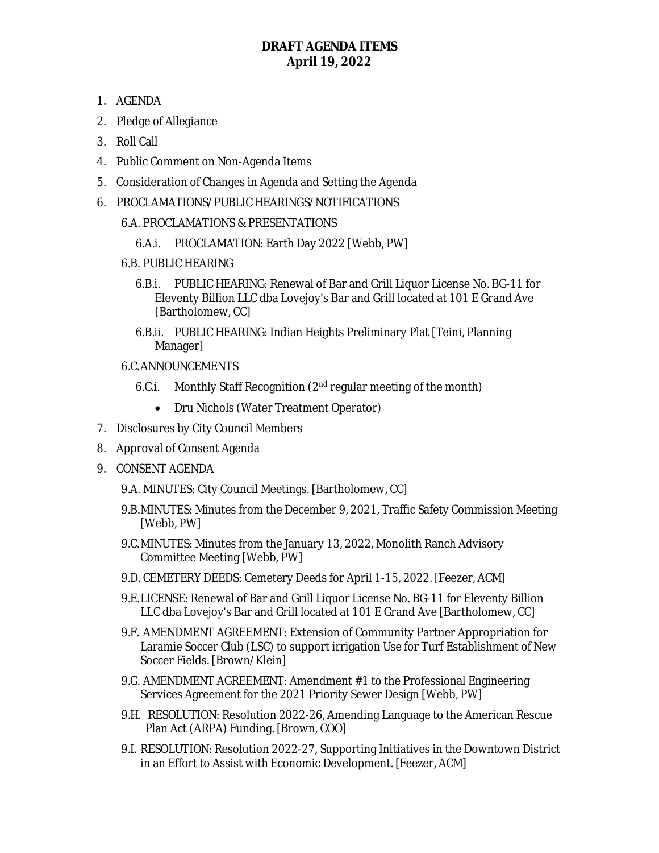## **DRAFT AGENDA ITEMS April 19, 2022**

- 1. AGENDA
- 2. Pledge of Allegiance
- 3. Roll Call
- 4. Public Comment on Non-Agenda Items
- 5. Consideration of Changes in Agenda and Setting the Agenda
- 6. PROCLAMATIONS/PUBLIC HEARINGS/NOTIFICATIONS
	- 6.A. PROCLAMATIONS & PRESENTATIONS
		- 6.A.i. PROCLAMATION: Earth Day 2022 [Webb, PW]
	- 6.B. PUBLIC HEARING
		- 6.B.i. PUBLIC HEARING: Renewal of Bar and Grill Liquor License No. BG-11 for Eleventy Billion LLC dba Lovejoy's Bar and Grill located at 101 E Grand Ave [Bartholomew, CC]
		- 6.B.ii. PUBLIC HEARING: Indian Heights Preliminary Plat [Teini, Planning Manager]
	- 6.C.ANNOUNCEMENTS
		- 6.C.i. Monthly Staff Recognition (2nd regular meeting of the month)
			- Dru Nichols (Water Treatment Operator)
- 7. Disclosures by City Council Members
- 8. Approval of Consent Agenda
- 9. CONSENT AGENDA
	- 9.A. MINUTES: City Council Meetings. [Bartholomew, CC]
	- 9.B.MINUTES: Minutes from the December 9, 2021, Traffic Safety Commission Meeting [Webb, PW]
	- 9.C.MINUTES: Minutes from the January 13, 2022, Monolith Ranch Advisory Committee Meeting [Webb, PW]
	- 9.D. CEMETERY DEEDS: Cemetery Deeds for April 1-15, 2022. [Feezer, ACM]
	- 9.E.LICENSE: Renewal of Bar and Grill Liquor License No. BG-11 for Eleventy Billion LLC dba Lovejoy's Bar and Grill located at 101 E Grand Ave [Bartholomew, CC]
	- 9.F. AMENDMENT AGREEMENT: Extension of Community Partner Appropriation for Laramie Soccer Club (LSC) to support irrigation Use for Turf Establishment of New Soccer Fields. [Brown/Klein]
	- 9.G. AMENDMENT AGREEMENT: Amendment #1 to the Professional Engineering Services Agreement for the 2021 Priority Sewer Design [Webb, PW]
	- 9.H. RESOLUTION: Resolution 2022-26, Amending Language to the American Rescue Plan Act (ARPA) Funding. [Brown, COO]
	- 9.I. RESOLUTION: Resolution 2022-27, Supporting Initiatives in the Downtown District in an Effort to Assist with Economic Development. [Feezer, ACM]